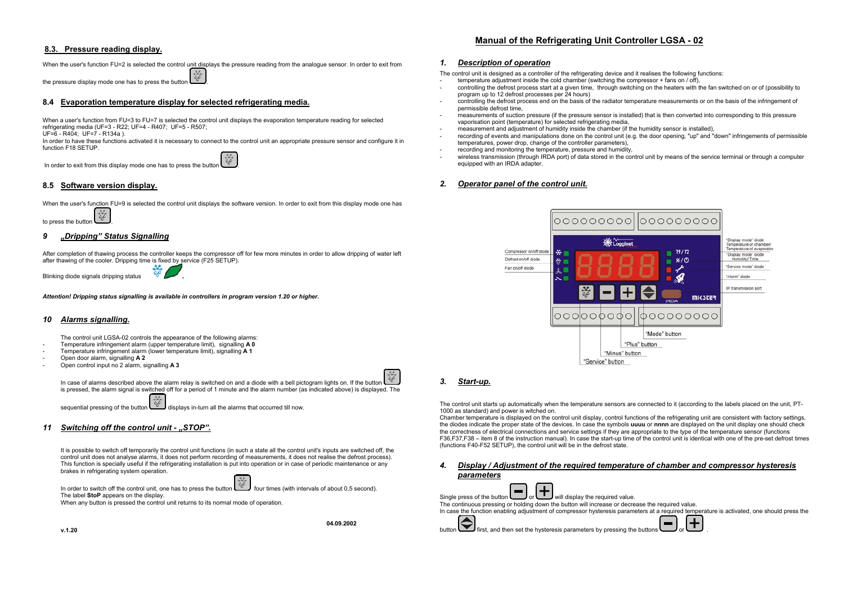## **8.3. Pressure reading display.**

#### When the user's function FU=2 is selected the control unit displays the pressure reading from the analogue sensor. In order to exit from

the pressure display mode one has to press the button

## **8.4 Evaporation temperature display for selected refrigerating media.**

When a user's function from FU=3 to FU=7 is selected the control unit displays the evaporation temperature reading for selected refrigerating media (UF=3 - R22; UF=4 - R407; UF=5 - R507;

UF=6 - R404; UF=7 - R134a ).

In order to have these functions activated it is necessary to connect to the control unit an appropriate pressure sensor and configure it in function F18 SETUP.

In order to exit from this display mode one has to press the button  $\begin{bmatrix} x_0 \\ y_1 \\ z_2 \end{bmatrix}$ 

## **8.5 Software version display.**

When the user's function FU=9 is selected the control unit displays the software version. In order to exit from this display mode one has

to press the button  $\frac{\frac{x}{x}}{\frac{x}{y}}$ 

## *9 "Dripping" Status Signalling*

After completion of thawing process the controller keeps the compressor off for few more minutes in order to allow dripping of water left after thawing of the cooler. Dripping time is fixed by service (F25 SETUP).

Blinking diode signals dripping status

*Attention! Dripping status signalling is available in controllers in program version 1.20 or higher.*

### *10 Alarms signalling.*

The control unit LGSA-02 controls the appearance of the following alarms:

- Temperature infringement alarm (upper temperature limit), signalling **A 0**
- Temperature infringement alarm (lower temperature limit), signalling **A 1**  - Open door alarm, signalling **A 2**
- 
- Open control input no 2 alarm, signalling **A 3**

In case of alarms described above the alarm relay is switched on and a diode with a bell pictogram lights on. If the button is pressed, the alarm signal is switched off for a period of 1 minute and the alarm number (as indicated above) is displayed. The

sequential pressing of the button displays in-turn all the alarms that occurred till now.

### *11 Switching off the control unit - "STOP".*

It is possible to switch off temporarily the control unit functions (in such a state all the control unit's inputs are switched off, the control unit does not analyse alarms, it does not perform recording of measurements, it does not realise the defrost process). This function is specially useful if the refrigerating installation is put into operation or in case of periodic maintenance or any brakes in refrigerating system operation.

In order to switch off the control unit, one has to press the button  $\delta_{\phi}$  four times (with intervals of about 0,5 second). The label **StoP** appears on the display.

When any button is pressed the control unit returns to its normal mode of operation.

**04.09.2002** 

# **Manual of the Refrigerating Unit Controller LGSA - 02**

#### *1. Description of operation*

The control unit is designed as a controller of the refrigerating device and it realises the following functions:

- temperature adjustment inside the cold chamber (switching the compressor + fans on / off),
- controlling the defrost process start at a given time, through switching on the heaters with the fan switched on or of (possibility to program up to 12 defrost processes per 24 hours)
- controlling the defrost process end on the basis of the radiator temperature measurements or on the basis of the infringement of permissible defrost time,
- measurements of suction pressure (if the pressure sensor is installed) that is then converted into corresponding to this pressure vaporisation point (temperature) for selected refrigerating media,
- measurement and adjustment of humidity inside the chamber (if the humidity sensor is installed),
- recording of events and manipulations done on the control unit (e.g. the door opening, "up" and "down" infringements of permissible temperatures, power drop, change of the controller parameters),
- recording and monitoring the temperature, pressure and humidity,
- wireless transmission (through IRDA port) of data stored in the control unit by means of the service terminal or through a computer equipped with an IRDA adapter.

## *2. Operator panel of the control unit.*



# *3. Start-up.*

The control unit starts up automatically when the temperature sensors are connected to it (according to the labels placed on the unit, PT-1000 as standard) and power is witched on.

Chamber temperature is displayed on the control unit display, control functions of the refrigerating unit are consistent with factory settings, the diodes indicate the proper state of the devices. In case the symbols **uuuu** or **nnnn** are displayed on the unit display one should check the correctness of electrical connections and service settings if they are appropriate to the type of the temperature sensor (functions F36,F37,F38 – item 8 of the instruction manual). In case the start-up time of the control unit is identical with one of the pre-set defrost times (functions F40-F52 SETUP), the control unit will be in the defrost state.

*4. Display / Adjustment of the required temperature of chamber and compressor hysteresis parameters*

| waram <del>c</del> icro                                                                                                                   |
|-------------------------------------------------------------------------------------------------------------------------------------------|
|                                                                                                                                           |
|                                                                                                                                           |
| The continuous pressing or holding down the button will increase or decrease the required value.                                          |
| In case the function enabling adjustment of compressor hysteresis parameters at a required temperature is activated, one should press the |
| button $\bigodot$ first, and then set the hysteresis parameters by pressing the buttons $\bigodot$ or $\bigoplus$                         |